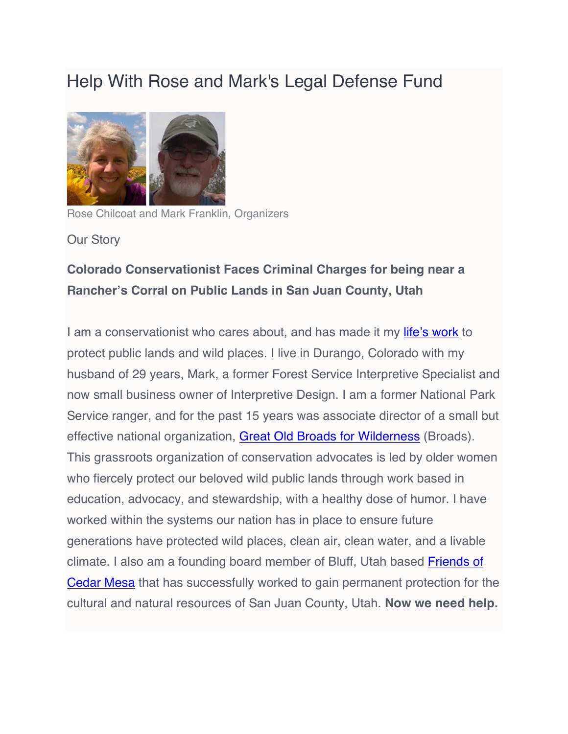# Help With Rose and Mark's Legal Defense Fund



Rose Chilcoat and Mark Franklin, Organizers

Our Story

# **Colorado Conservationist Faces Criminal Charges for being near a Rancher's Corral on Public Lands in San Juan County, Utah**

I am a conservationist who cares about, and has made it my [life's work](https://www.linkedin.com/in/rose-chilcoat-89a57a5/) to protect public lands and wild places. I live in Durango, Colorado with my husband of 29 years, Mark, a former Forest Service Interpretive Specialist and now small business owner of Interpretive Design. I am a former National Park Service ranger, and for the past 15 years was associate director of a small but effective national organization, [Great Old Broads for Wilderness](http://www.greatoldbroads.org/) (Broads). This grassroots organization of conservation advocates is led by older women who fiercely protect our beloved wild public lands through work based in education, advocacy, and stewardship, with a healthy dose of humor. I have worked within the systems our nation has in place to ensure future generations have protected wild places, clean air, clean water, and a livable climate. I also am a founding board member of Bluff, Utah based [Friends of](https://www.friendsofcedarmesa.org/) [Cedar Mesa](https://www.friendsofcedarmesa.org/) that has successfully worked to gain permanent protection for the cultural and natural resources of San Juan County, Utah. **Now we need help.**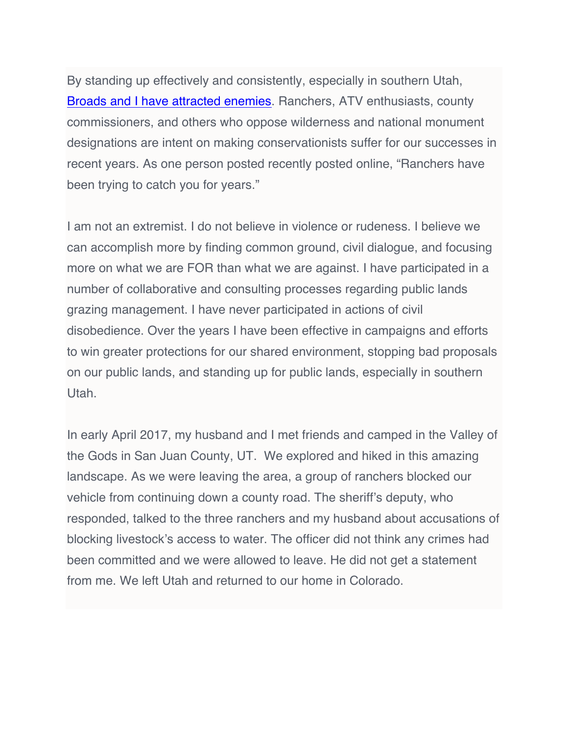By standing up effectively and consistently, especially in southern Utah, [Broads and I have attracted enemies](http://www.hcn.org/blogs/goat/fear-and-loathing-in-san-juan-county). Ranchers, ATV enthusiasts, county commissioners, and others who oppose wilderness and national monument designations are intent on making conservationists suffer for our successes in recent years. As one person posted recently posted online, "Ranchers have been trying to catch you for years."

I am not an extremist. I do not believe in violence or rudeness. I believe we can accomplish more by finding common ground, civil dialogue, and focusing more on what we are FOR than what we are against. I have participated in a number of collaborative and consulting processes regarding public lands grazing management. I have never participated in actions of civil disobedience. Over the years I have been effective in campaigns and efforts to win greater protections for our shared environment, stopping bad proposals on our public lands, and standing up for public lands, especially in southern Utah.

In early April 2017, my husband and I met friends and camped in the Valley of the Gods in San Juan County, UT. We explored and hiked in this amazing landscape. As we were leaving the area, a group of ranchers blocked our vehicle from continuing down a county road. The sheriff's deputy, who responded, talked to the three ranchers and my husband about accusations of blocking livestock's access to water. The officer did not think any crimes had been committed and we were allowed to leave. He did not get a statement from me. We left Utah and returned to our home in Colorado.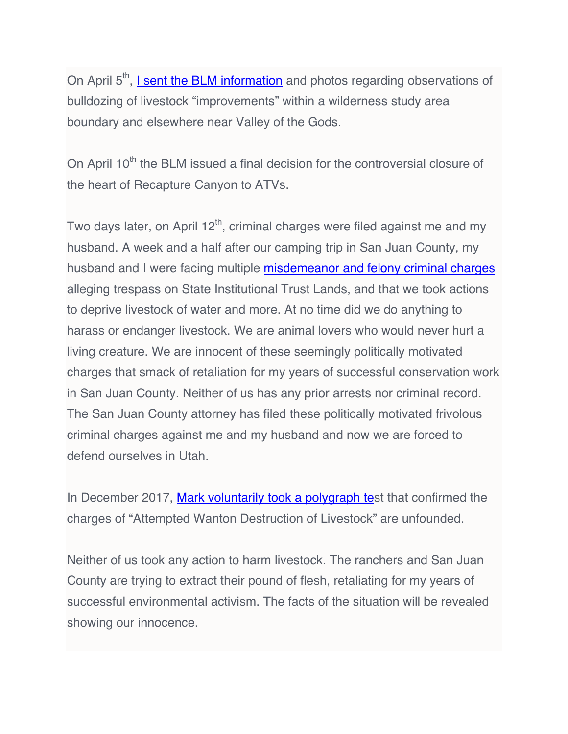On April 5<sup>th</sup>, *I* sent the BLM information and photos regarding observations of bulldozing of livestock "improvements" within a wilderness study area boundary and elsewhere near Valley of the Gods.

On April  $10<sup>th</sup>$  the BLM issued a final decision for the controversial closure of the heart of Recapture Canyon to ATVs.

Two days later, on April  $12<sup>th</sup>$ , criminal charges were filed against me and my husband. A week and a half after our camping trip in San Juan County, my husband and I were facing multiple [misdemeanor and felony criminal charges](http://www.greatoldbroads.org/wp-content/uploads/2018/02/Summary-of-Charges.pdf) alleging trespass on State Institutional Trust Lands, and that we took actions to deprive livestock of water and more. At no time did we do anything to harass or endanger livestock. We are animal lovers who would never hurt a living creature. We are innocent of these seemingly politically motivated charges that smack of retaliation for my years of successful conservation work in San Juan County. Neither of us has any prior arrests nor criminal record. The San Juan County attorney has filed these politically motivated frivolous criminal charges against me and my husband and now we are forced to defend ourselves in Utah.

In December 2017, [Mark voluntarily took](http://www.greatoldbroads.org/wp-content/uploads/2018/03/Media-outreach-polygraph-March-22-2018.pdf) a polygraph test that confirmed the charges of "Attempted Wanton Destruction of Livestock" are unfounded.

Neither of us took any action to harm livestock. The ranchers and San Juan County are trying to extract their pound of flesh, retaliating for my years of successful environmental activism. The facts of the situation will be revealed showing our innocence.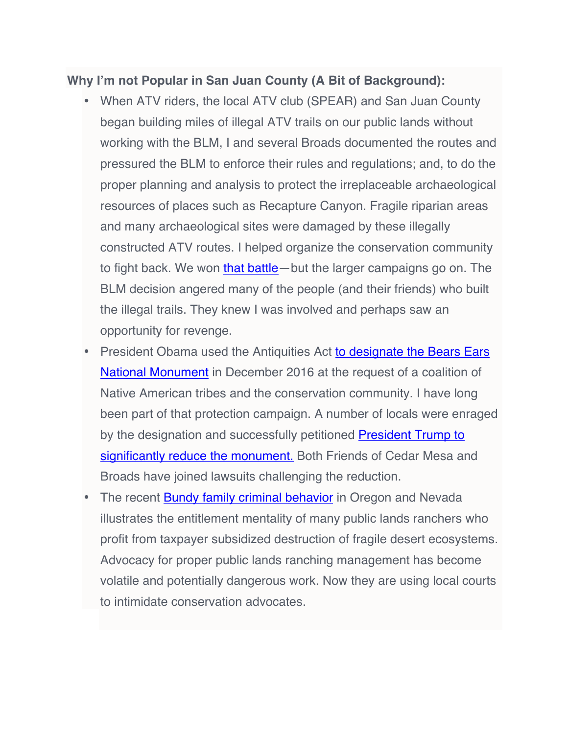#### **Why I'm not Popular in San Juan County (A Bit of Background):**

- When ATV riders, the local ATV club (SPEAR) and San Juan County began building miles of illegal ATV trails on our public lands without working with the BLM, I and several Broads documented the routes and pressured the BLM to enforce their rules and regulations; and, to do the proper planning and analysis to protect the irreplaceable archaeological resources of places such as Recapture Canyon. Fragile riparian areas and many archaeological sites were damaged by these illegally constructed ATV routes. I helped organize the conservation community to fight back. We won [that battle](http://www.sltrib.com/home/5161338-155/blm-approves-motorized-trails-for-recapture)—but the larger campaigns go on. The BLM decision angered many of the people (and their friends) who built the illegal trails. They knew I was involved and perhaps saw an opportunity for revenge.
- President Obama used the Antiquities Act to designate [the Bears Ears](http://www.hcn.org/issues/49.1/was-the-bears-ears-designation-a-victory) [National Monument](http://www.hcn.org/issues/49.1/was-the-bears-ears-designation-a-victory) in December 2016 at the request of a coalition of Native American tribes and the conservation community. I have long been part of that protection campaign. A number of locals were enraged by the designation and successfully petitioned [President Trump to](https://www.nytimes.com/2017/12/04/us/trump-bears-ears.html) [significantly reduce the monument.](https://www.nytimes.com/2017/12/04/us/trump-bears-ears.html) Both Friends of Cedar Mesa and Broads have joined lawsuits challenging the reduction.
- The recent **Bundy family criminal behavior** in Oregon and Nevada illustrates the entitlement mentality of many public lands ranchers who profit from taxpayer subsidized destruction of fragile desert ecosystems. Advocacy for proper public lands ranching management has become volatile and potentially dangerous work. Now they are using local courts to intimidate conservation advocates.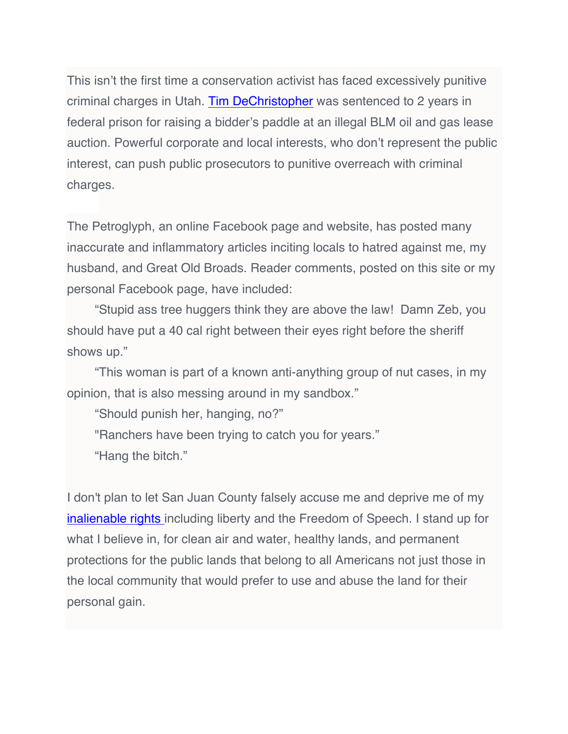This isn't the first time a conservation activist has faced excessively punitive criminal charges in Utah. [Tim DeChristopher](http://www.peacefuluprising.org/tim-dechristopher/tims-story) was sentenced to 2 years in federal prison for raising a bidder's paddle at an illegal BLM oil and gas lease auction. Powerful corporate and local interests, who don't represent the public interest, can push public prosecutors to punitive overreach with criminal charges.

The Petroglyph, an online Facebook page and website, has posted many inaccurate and inflammatory articles inciting locals to hatred against me, my husband, and Great Old Broads. Reader comments, posted on this site or my personal Facebook page, have included:

"Stupid ass tree huggers think they are above the law! Damn Zeb, you should have put a 40 cal right between their eyes right before the sheriff shows up."

"This woman is part of a known anti-anything group of nut cases, in my opinion, that is also messing around in my sandbox."

"Should punish her, hanging, no?"

"Ranchers have been trying to catch you for years."

"Hang the bitch."

I don't plan to let San Juan County falsely accuse me and deprive me of my [inalienable rights](http://www.dictionary.com/browse/inalienable-right) including liberty and the Freedom of Speech. I stand up for what I believe in, for clean air and water, healthy lands, and permanent protections for the public lands that belong to all Americans not just those in the local community that would prefer to use and abuse the land for their personal gain.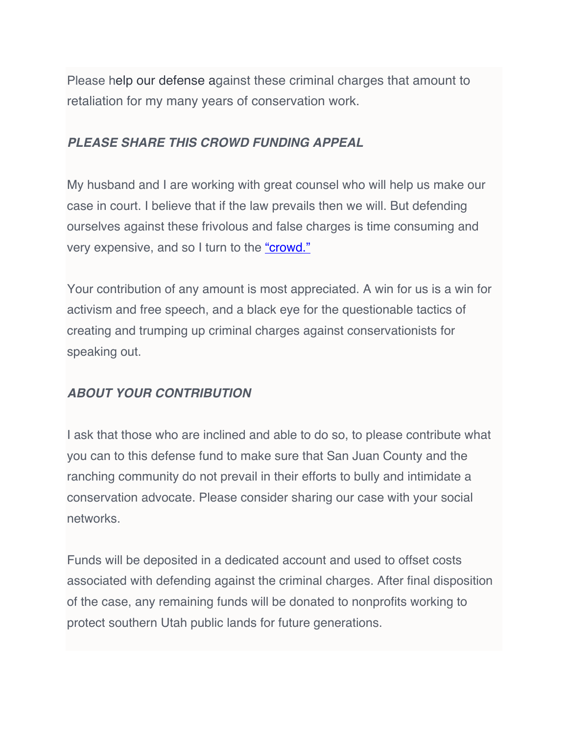Please help our defense against these criminal charges that amount to retaliation for my many years of conservation work.

#### *PLEASE SHARE THIS CROWD FUNDING APPEAL*

My husband and I are working with great counsel who will help us make our case in court. I believe that if the law prevails then we will. But defending ourselves against these frivolous and false charges is time consuming and very expensive, and so I turn to the ["crowd."](https://en.wikipedia.org/wiki/Crowdfunding)

Your contribution of any amount is most appreciated. A win for us is a win for activism and free speech, and a black eye for the questionable tactics of creating and trumping up criminal charges against conservationists for speaking out.

## *ABOUT YOUR CONTRIBUTION*

I ask that those who are inclined and able to do so, to please contribute what you can to this defense fund to make sure that San Juan County and the ranching community do not prevail in their efforts to bully and intimidate a conservation advocate. Please consider sharing our case with your social networks.

Funds will be deposited in a dedicated account and used to offset costs associated with defending against the criminal charges. After final disposition of the case, any remaining funds will be donated to nonprofits working to protect southern Utah public lands for future generations.